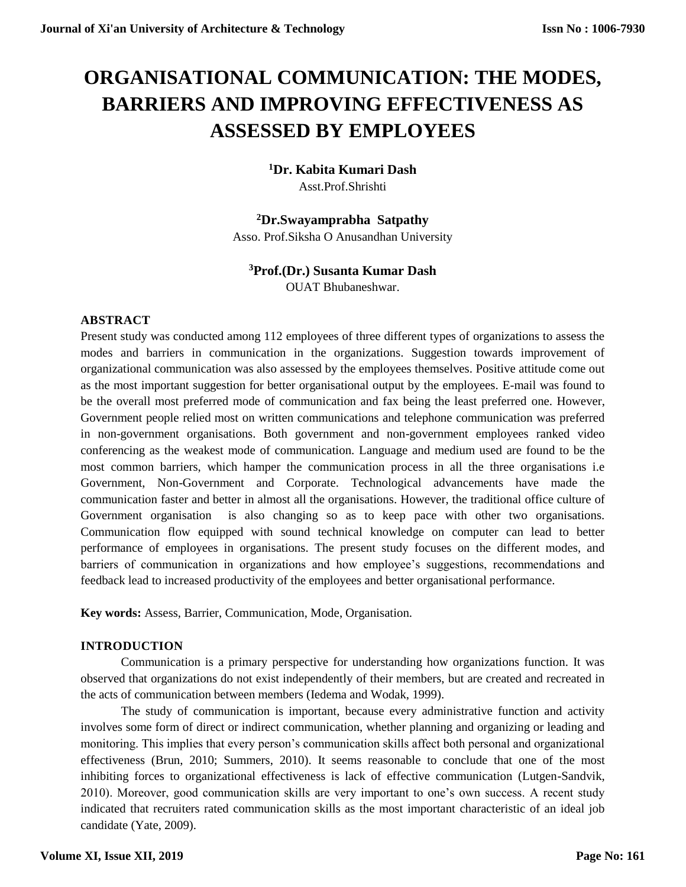# **ORGANISATIONAL COMMUNICATION: THE MODES, BARRIERS AND IMPROVING EFFECTIVENESS AS ASSESSED BY EMPLOYEES**

## **<sup>1</sup>Dr. Kabita Kumari Dash** Asst.Prof.Shrishti

## **<sup>2</sup>Dr.Swayamprabha Satpathy** Asso. Prof.Siksha O Anusandhan University

## **<sup>3</sup>Prof.(Dr.) Susanta Kumar Dash**

OUAT Bhubaneshwar.

## **ABSTRACT**

Present study was conducted among 112 employees of three different types of organizations to assess the modes and barriers in communication in the organizations. Suggestion towards improvement of organizational communication was also assessed by the employees themselves. Positive attitude come out as the most important suggestion for better organisational output by the employees. E-mail was found to be the overall most preferred mode of communication and fax being the least preferred one. However, Government people relied most on written communications and telephone communication was preferred in non-government organisations. Both government and non-government employees ranked video conferencing as the weakest mode of communication. Language and medium used are found to be the most common barriers, which hamper the communication process in all the three organisations i.e Government, Non-Government and Corporate. Technological advancements have made the communication faster and better in almost all the organisations. However, the traditional office culture of Government organisation is also changing so as to keep pace with other two organisations. Communication flow equipped with sound technical knowledge on computer can lead to better performance of employees in organisations. The present study focuses on the different modes, and barriers of communication in organizations and how employee's suggestions, recommendations and feedback lead to increased productivity of the employees and better organisational performance.

**Key words:** Assess, Barrier, Communication, Mode, Organisation.

## **INTRODUCTION**

Communication is a primary perspective for understanding how organizations function. It was observed that organizations do not exist independently of their members, but are created and recreated in the acts of communication between members (Iedema and Wodak, 1999).

The study of communication is important, because every administrative function and activity involves some form of direct or indirect communication, whether planning and organizing or leading and monitoring. This implies that every person's communication skills affect both personal and organizational effectiveness (Brun, 2010; Summers, 2010). It seems reasonable to conclude that one of the most inhibiting forces to organizational effectiveness is lack of effective communication (Lutgen-Sandvik, 2010). Moreover, good communication skills are very important to one's own success. A recent study indicated that recruiters rated communication skills as the most important characteristic of an ideal job candidate (Yate, 2009).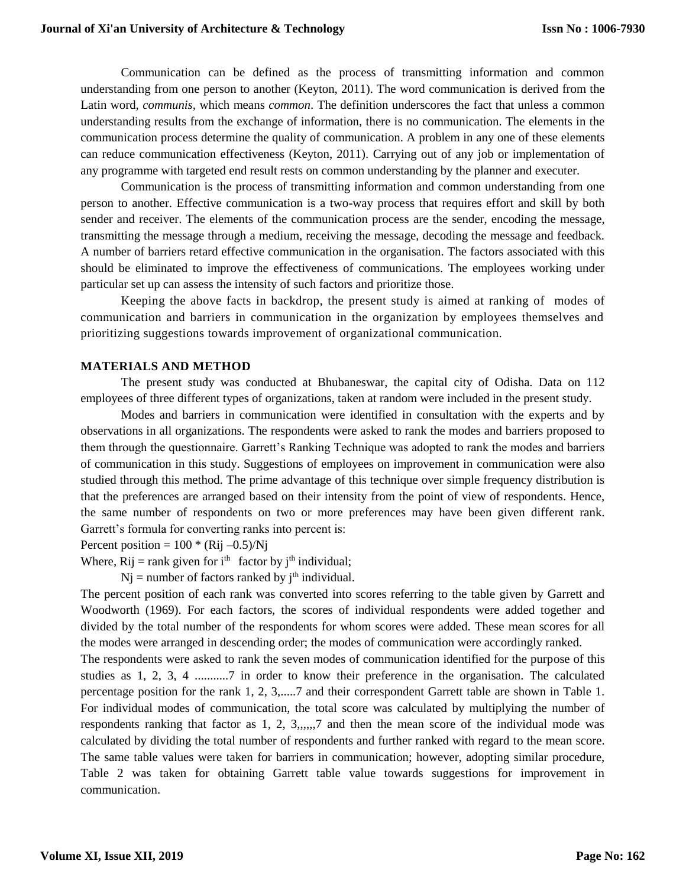Communication can be defined as the process of transmitting information and common understanding from one person to another (Keyton, 2011). The word communication is derived from the Latin word, *communis,* which means *common*. The definition underscores the fact that unless a common understanding results from the exchange of information, there is no communication. The elements in the communication process determine the quality of communication. A problem in any one of these elements can reduce communication effectiveness (Keyton, 2011). Carrying out of any job or implementation of any programme with targeted end result rests on common understanding by the planner and executer.

Communication is the process of transmitting information and common understanding from one person to another. Effective communication is a two-way process that requires effort and skill by both sender and receiver. The elements of the communication process are the sender, encoding the message, transmitting the message through a medium, receiving the message, decoding the message and feedback. A number of barriers retard effective communication in the organisation. The factors associated with this should be eliminated to improve the effectiveness of communications. The employees working under particular set up can assess the intensity of such factors and prioritize those.

Keeping the above facts in backdrop, the present study is aimed at ranking of modes of communication and barriers in communication in the organization by employees themselves and prioritizing suggestions towards improvement of organizational communication.

#### **MATERIALS AND METHOD**

The present study was conducted at Bhubaneswar, the capital city of Odisha. Data on 112 employees of three different types of organizations, taken at random were included in the present study.

Modes and barriers in communication were identified in consultation with the experts and by observations in all organizations. The respondents were asked to rank the modes and barriers proposed to them through the questionnaire. Garrett's Ranking Technique was adopted to rank the modes and barriers of communication in this study. Suggestions of employees on improvement in communication were also studied through this method. The prime advantage of this technique over simple frequency distribution is that the preferences are arranged based on their intensity from the point of view of respondents. Hence, the same number of respondents on two or more preferences may have been given different rank. Garrett's formula for converting ranks into percent is:

Percent position =  $100 * (Rij -0.5)/Nj$ 

Where,  $\text{Rij} = \text{rank}$  given for  $i^{\text{th}}$  factor by  $j^{\text{th}}$  individual;

 $Nj$  = number of factors ranked by  $j<sup>th</sup>$  individual.

The percent position of each rank was converted into scores referring to the table given by Garrett and Woodworth (1969). For each factors, the scores of individual respondents were added together and divided by the total number of the respondents for whom scores were added. These mean scores for all the modes were arranged in descending order; the modes of communication were accordingly ranked.

The respondents were asked to rank the seven modes of communication identified for the purpose of this studies as 1, 2, 3, 4 ...........7 in order to know their preference in the organisation. The calculated percentage position for the rank 1, 2, 3,.....7 and their correspondent Garrett table are shown in Table 1. For individual modes of communication, the total score was calculated by multiplying the number of respondents ranking that factor as 1, 2, 3,,,,,,7 and then the mean score of the individual mode was calculated by dividing the total number of respondents and further ranked with regard to the mean score. The same table values were taken for barriers in communication; however, adopting similar procedure, Table 2 was taken for obtaining Garrett table value towards suggestions for improvement in communication.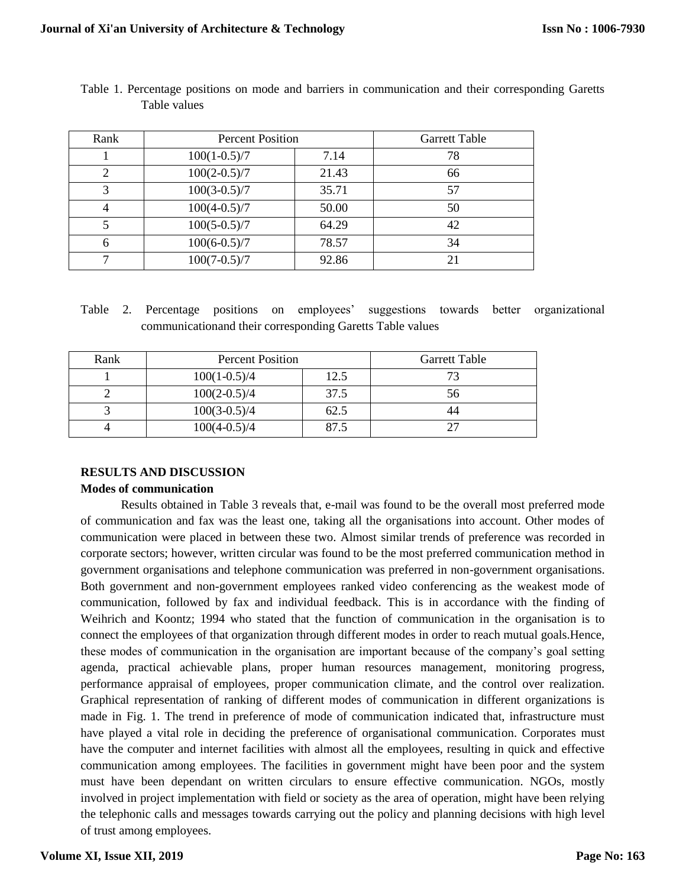| Rank | <b>Percent Position</b> | <b>Garrett Table</b> |                |
|------|-------------------------|----------------------|----------------|
|      | $100(1-0.5)/7$          | 7.14                 | 78             |
| 2    | $100(2-0.5)/7$          | 21.43                | 66             |
| 3    | $100(3-0.5)/7$          | 35.71                | 57             |
|      | $100(4-0.5)/7$          | 50.00                | 50             |
|      | $100(5-0.5)/7$          | 64.29                | 42             |
| 6    | $100(6-0.5)/7$          | 78.57                | 34             |
|      | $100(7-0.5)/7$          | 92.86                | 2 <sub>1</sub> |

Table 1. Percentage positions on mode and barriers in communication and their corresponding Garetts Table values

Table 2. Percentage positions on employees' suggestions towards better organizational communicationand their corresponding Garetts Table values

| Rank | <b>Percent Position</b> | <b>Garrett Table</b> |              |  |  |  |
|------|-------------------------|----------------------|--------------|--|--|--|
|      | $100(1-0.5)/4$          | 12.5                 | 72           |  |  |  |
|      | $100(2-0.5)/4$          | 37.5                 | $56^{\circ}$ |  |  |  |
|      | $100(3-0.5)/4$          | 62.5                 |              |  |  |  |
|      | $100(4-0.5)/4$          | 87 5                 |              |  |  |  |

#### **RESULTS AND DISCUSSION**

#### **Modes of communication**

Results obtained in Table 3 reveals that, e-mail was found to be the overall most preferred mode of communication and fax was the least one, taking all the organisations into account. Other modes of communication were placed in between these two. Almost similar trends of preference was recorded in corporate sectors; however, written circular was found to be the most preferred communication method in government organisations and telephone communication was preferred in non-government organisations. Both government and non-government employees ranked video conferencing as the weakest mode of communication, followed by fax and individual feedback. This is in accordance with the finding of Weihrich and Koontz; 1994 who stated that the function of communication in the organisation is to connect the employees of that organization through different modes in order to reach mutual goals.Hence, these modes of communication in the organisation are important because of the company's goal setting agenda, practical achievable plans, proper human resources management, monitoring progress, performance appraisal of employees, proper communication climate, and the control over realization. Graphical representation of ranking of different modes of communication in different organizations is made in Fig. 1. The trend in preference of mode of communication indicated that, infrastructure must have played a vital role in deciding the preference of organisational communication. Corporates must have the computer and internet facilities with almost all the employees, resulting in quick and effective communication among employees. The facilities in government might have been poor and the system must have been dependant on written circulars to ensure effective communication. NGOs, mostly involved in project implementation with field or society as the area of operation, might have been relying the telephonic calls and messages towards carrying out the policy and planning decisions with high level of trust among employees.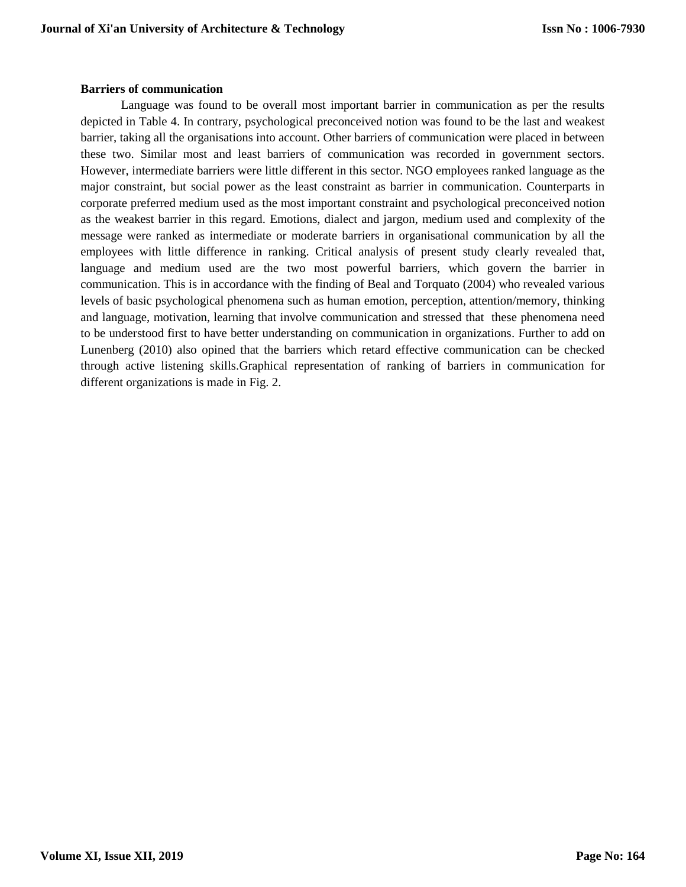#### **Barriers of communication**

Language was found to be overall most important barrier in communication as per the results depicted in Table 4. In contrary, psychological preconceived notion was found to be the last and weakest barrier, taking all the organisations into account. Other barriers of communication were placed in between these two. Similar most and least barriers of communication was recorded in government sectors. However, intermediate barriers were little different in this sector. NGO employees ranked language as the major constraint, but social power as the least constraint as barrier in communication. Counterparts in corporate preferred medium used as the most important constraint and psychological preconceived notion as the weakest barrier in this regard. Emotions, dialect and jargon, medium used and complexity of the message were ranked as intermediate or moderate barriers in organisational communication by all the employees with little difference in ranking. Critical analysis of present study clearly revealed that, language and medium used are the two most powerful barriers, which govern the barrier in communication. This is in accordance with the finding of Beal and Torquato (2004) who revealed various levels of basic psychological phenomena such as human emotion, perception, attention/memory, thinking and language, motivation, learning that involve communication and stressed that these phenomena need to be understood first to have better understanding on communication in organizations. Further to add on Lunenberg (2010) also opined that the barriers which retard effective communication can be checked through active listening skills.Graphical representation of ranking of barriers in communication for different organizations is made in Fig. 2.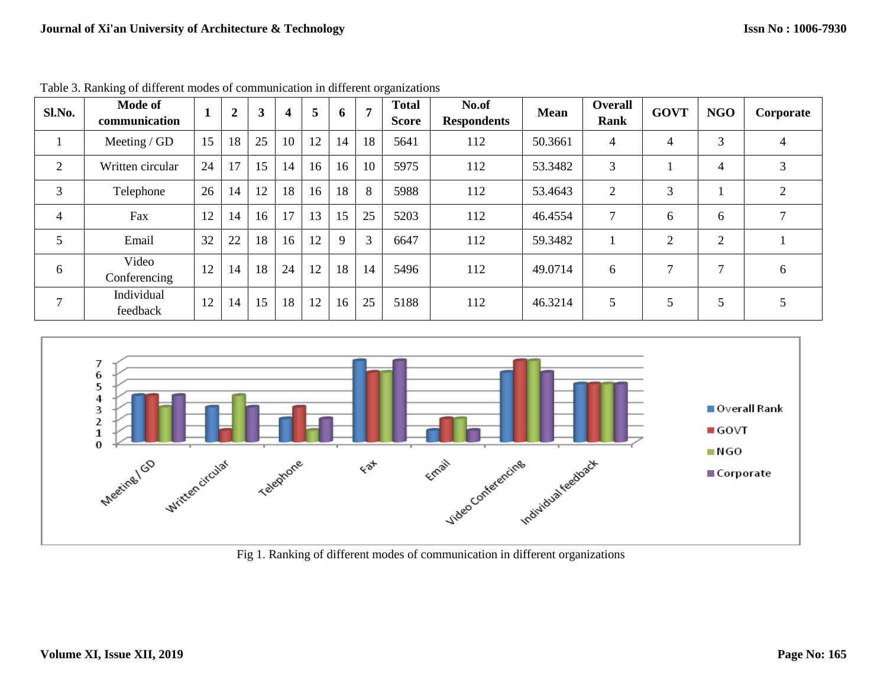| Sl.No.         | <b>Mode of</b><br>communication |    | $\boldsymbol{2}$ | 3  | 4  | 5  | 6           | $\overline{ }$ | <b>Total</b><br><b>Score</b> | No.of<br><b>Respondents</b> | <b>Mean</b> | <b>Overall</b><br>Rank | <b>GOVT</b>    | <b>NGO</b>     | Corporate     |
|----------------|---------------------------------|----|------------------|----|----|----|-------------|----------------|------------------------------|-----------------------------|-------------|------------------------|----------------|----------------|---------------|
| $\perp$        | Meeting / $GD$                  | 15 | 18               | 25 | 10 | 12 | 14          | 18             | 5641                         | 112                         | 50.3661     | 4                      | 4              | 3              | 4             |
| 2              | Written circular                | 24 | 17               | 15 | 14 | 16 | 16          | 10             | 5975                         | 112                         | 53.3482     | 3                      |                | 4              | 3             |
| 3              | Telephone                       | 26 | 14               | 12 | 18 | 16 | 18          | 8              | 5988                         | 112                         | 53.4643     | 2                      | 3              |                | $\mathcal{L}$ |
| $\overline{4}$ | Fax                             | 12 | 14               | 16 | 17 | 13 | 15          | 25             | 5203                         | 112                         | 46.4554     | $\tau$                 | 6              | 6              |               |
| 5              | Email                           | 32 | 22               | 18 | 16 | 12 | $\mathbf Q$ | 3              | 6647                         | 112                         | 59.3482     |                        | $\overline{2}$ | $\overline{2}$ |               |
| 6              | Video<br>Conferencing           | 12 | 14               | 18 | 24 | 12 | 18          | 14             | 5496                         | 112                         | 49.0714     | 6                      | 7              | $\mathcal{L}$  | 6             |
| 7              | Individual<br>feedback          | 12 | 14               | 15 | 18 | 12 | 16          | 25             | 5188                         | 112                         | 46.3214     | 5                      | 5              | 5              |               |

Table 3. Ranking of different modes of communication in different organizations



Fig 1. Ranking of different modes of communication in different organizations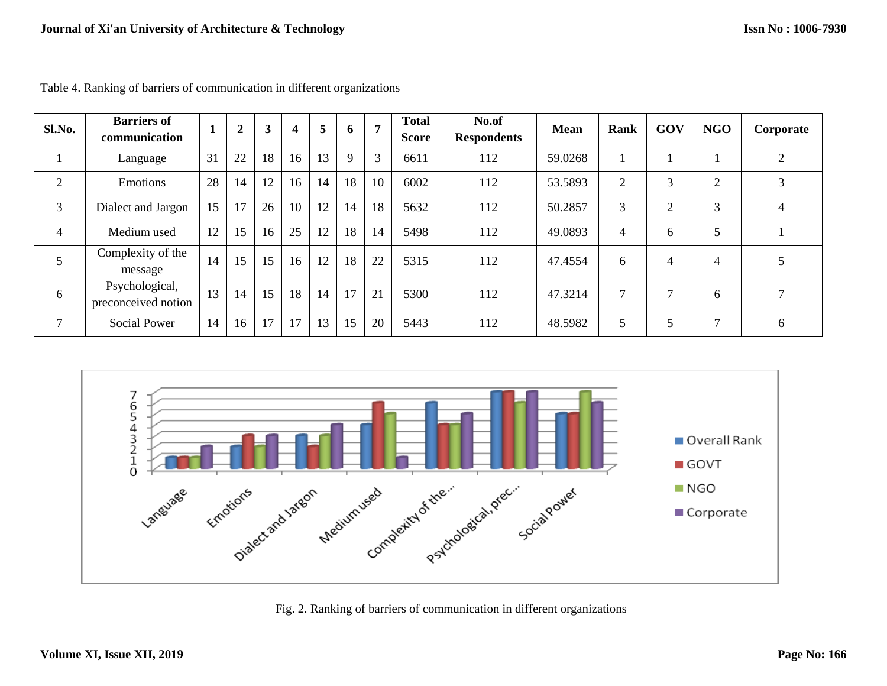| Sl.No.                   | <b>Barriers of</b><br>communication   |    | $\overline{2}$ | 3  | $\boldsymbol{4}$ | 5  | $\mathbf b$ | $\mathbf{r}$ | <b>Total</b><br><b>Score</b> | No.of<br><b>Respondents</b> | <b>Mean</b> | Rank           | GOV            | <b>NGO</b> | Corporate |
|--------------------------|---------------------------------------|----|----------------|----|------------------|----|-------------|--------------|------------------------------|-----------------------------|-------------|----------------|----------------|------------|-----------|
|                          | Language                              | 31 | 22             | 18 | 16               | 13 | 9           | 3            | 6611                         | 112                         | 59.0268     |                |                |            | ◠         |
| $\overline{2}$           | Emotions                              | 28 | 14             | 12 | 16               | 14 | 18          | 10           | 6002                         | 112                         | 53.5893     | $\overline{2}$ | 3              | C          | 3         |
| 3                        | Dialect and Jargon                    | 15 | 17             | 26 | 10               | 12 | 14          | 18           | 5632                         | 112                         | 50.2857     | 3              | $\overline{2}$ | 3          | 4         |
| $\overline{\mathcal{A}}$ | Medium used                           | 12 | 15             | 16 | 25               | 12 | 18          | 14           | 5498                         | 112                         | 49.0893     | 4              | 6              | 5          |           |
| 5                        | Complexity of the<br>message          | 14 | 15             | 15 | 16               | 12 | 18          | 22           | 5315                         | 112                         | 47.4554     | 6              | $\overline{4}$ | 4          |           |
| 6                        | Psychological,<br>preconceived notion | 13 | 14             | 15 | 18               | 14 | 17          | 21           | 5300                         | 112                         | 47.3214     | 7              | 7              | 6          |           |
| $\mathcal{L}$            | <b>Social Power</b>                   | 14 | 16             | 17 | 17               | 13 | 15          | 20           | 5443                         | 112                         | 48.5982     | 5              | 5              | ⇁          | 6         |

Table 4. Ranking of barriers of communication in different organizations



Fig. 2. Ranking of barriers of communication in different organizations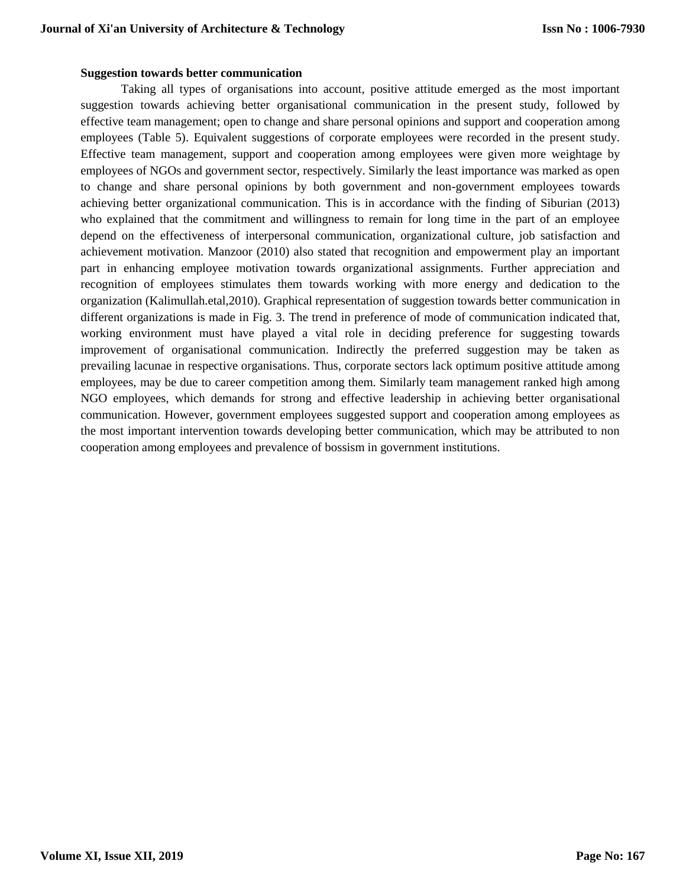#### **Suggestion towards better communication**

Taking all types of organisations into account, positive attitude emerged as the most important suggestion towards achieving better organisational communication in the present study, followed by effective team management; open to change and share personal opinions and support and cooperation among employees (Table 5). Equivalent suggestions of corporate employees were recorded in the present study. Effective team management, support and cooperation among employees were given more weightage by employees of NGOs and government sector, respectively. Similarly the least importance was marked as open to change and share personal opinions by both government and non-government employees towards achieving better organizational communication. This is in accordance with the finding of Siburian (2013) who explained that the commitment and willingness to remain for long time in the part of an employee depend on the effectiveness of interpersonal communication, organizational culture, job satisfaction and achievement motivation. Manzoor (2010) also stated that recognition and empowerment play an important part in enhancing employee motivation towards organizational assignments. Further appreciation and recognition of employees stimulates them towards working with more energy and dedication to the organization (Kalimullah.etal,2010). Graphical representation of suggestion towards better communication in different organizations is made in Fig. 3. The trend in preference of mode of communication indicated that, working environment must have played a vital role in deciding preference for suggesting towards improvement of organisational communication. Indirectly the preferred suggestion may be taken as prevailing lacunae in respective organisations. Thus, corporate sectors lack optimum positive attitude among employees, may be due to career competition among them. Similarly team management ranked high among NGO employees, which demands for strong and effective leadership in achieving better organisational communication. However, government employees suggested support and cooperation among employees as the most important intervention towards developing better communication, which may be attributed to non cooperation among employees and prevalence of bossism in government institutions.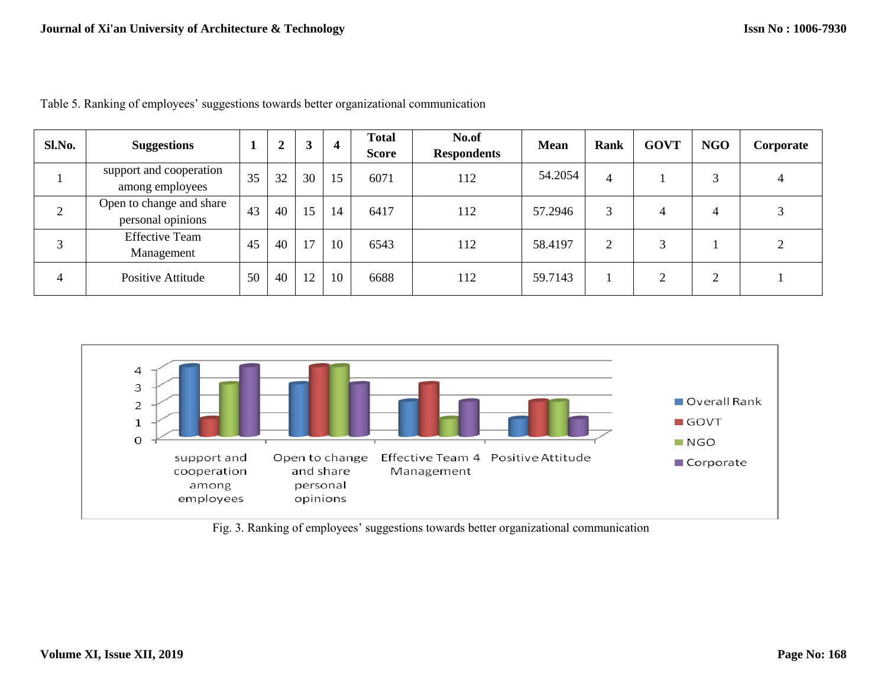| Sl.No. | <b>Suggestions</b>                            |    | n<br>◢ | 3  | $\overline{4}$ | <b>Total</b><br><b>Score</b> | No.of<br><b>Respondents</b> | <b>Mean</b> | Rank           | <b>GOVT</b> | <b>NGO</b> | Corporate |
|--------|-----------------------------------------------|----|--------|----|----------------|------------------------------|-----------------------------|-------------|----------------|-------------|------------|-----------|
|        | support and cooperation<br>among employees    | 35 | 32     | 30 | 15             | 6071                         | 112                         | 54.2054     | 4              |             | 3          |           |
|        | Open to change and share<br>personal opinions | 43 | 40     | 15 | 14             | 6417                         | 112                         | 57.2946     | 3              | 4           | 4          |           |
|        | <b>Effective Team</b><br>Management           | 45 | 40     | 17 | 10             | 6543                         | 112                         | 58.4197     | $\overline{2}$ | 3           |            |           |
| 4      | Positive Attitude                             | 50 | 40     | 12 | 10             | 6688                         | 112                         | 59.7143     |                | ◠           | ⌒          |           |

Table 5. Ranking of employees' suggestions towards better organizational communication



Fig. 3. Ranking of employees' suggestions towards better organizational communication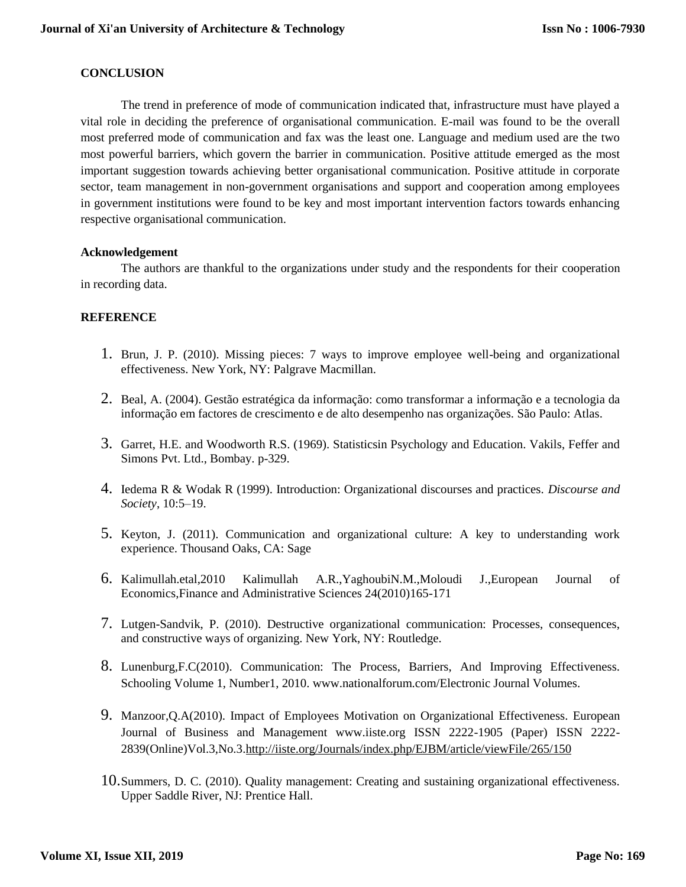### **CONCLUSION**

The trend in preference of mode of communication indicated that, infrastructure must have played a vital role in deciding the preference of organisational communication. E-mail was found to be the overall most preferred mode of communication and fax was the least one. Language and medium used are the two most powerful barriers, which govern the barrier in communication. Positive attitude emerged as the most important suggestion towards achieving better organisational communication. Positive attitude in corporate sector, team management in non-government organisations and support and cooperation among employees in government institutions were found to be key and most important intervention factors towards enhancing respective organisational communication.

#### **Acknowledgement**

The authors are thankful to the organizations under study and the respondents for their cooperation in recording data.

#### **REFERENCE**

- 1. Brun, J. P. (2010). Missing pieces: 7 ways to improve employee well-being and organizational effectiveness. New York, NY: Palgrave Macmillan.
- 2. Beal, A. (2004). Gestão estratégica da informação: como transformar a informação e a tecnologia da informação em factores de crescimento e de alto desempenho nas organizações. São Paulo: Atlas.
- 3. Garret, H.E. and Woodworth R.S. (1969). Statisticsin Psychology and Education. Vakils, Feffer and Simons Pvt. Ltd., Bombay. p-329.
- 4. Iedema R & Wodak R (1999). Introduction: Organizational discourses and practices. *Discourse and Society*, 10:5–19.
- 5. Keyton, J. (2011). Communication and organizational culture: A key to understanding work experience. Thousand Oaks, CA: Sage
- 6. Kalimullah.etal,2010 Kalimullah A.R.,YaghoubiN.M.,Moloudi J.,European Journal of Economics,Finance and Administrative Sciences 24(2010)165-171
- 7. Lutgen-Sandvik, P. (2010). Destructive organizational communication: Processes, consequences, and constructive ways of organizing. New York, NY: Routledge.
- 8. Lunenburg,F.C(2010). Communication: The Process, Barriers, And Improving Effectiveness. Schooling Volume 1, Number1, 2010. www.nationalforum.com/Electronic Journal Volumes.
- 9. Manzoor,Q.A(2010). Impact of Employees Motivation on Organizational Effectiveness. European Journal of Business and Management www.iiste.org ISSN 2222-1905 (Paper) ISSN 2222- 2839(Online)Vol.3,No.3[.http://iiste.org/Journals/index.php/EJBM/article/viewFile/265/150](http://iiste.org/Journals/index.php/EJBM/article/viewFile/265/150)
- 10.Summers, D. C. (2010). Quality management: Creating and sustaining organizational effectiveness. Upper Saddle River, NJ: Prentice Hall.